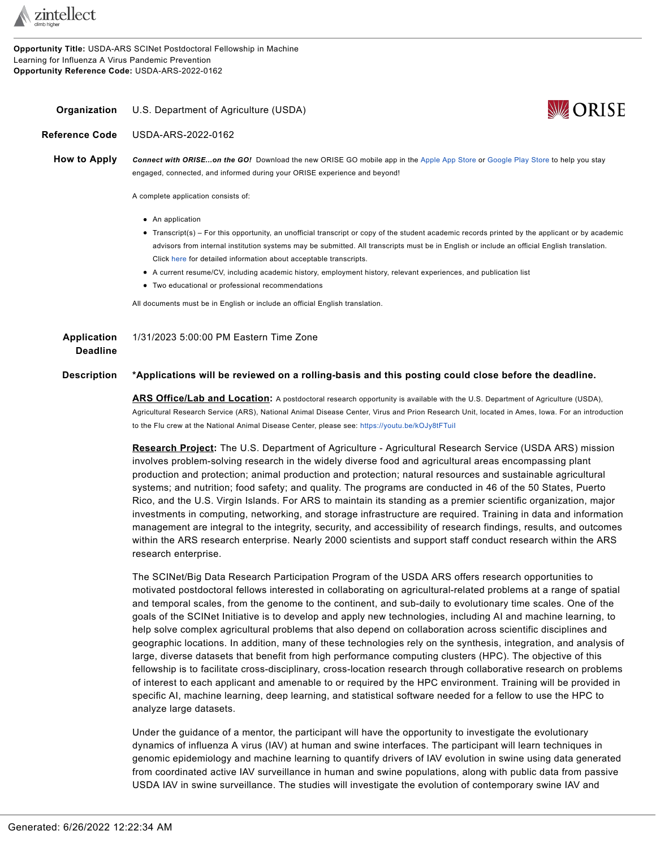

**Opportunity Title:** USDA-ARS SCINet Postdoctoral Fellowship in Machine Learning for Influenza A Virus Pandemic Prevention **Opportunity Reference Code:** USDA-ARS-2022-0162

<span id="page-0-0"></span>**Organization** U.S. Department of Agriculture (USDA)



**Reference Code** USDA-ARS-2022-0162

**How to Apply** *Connect with ORISE...on the GO!* Download the new ORISE GO mobile app in the [Apple](https://apps.apple.com/us/app/orise-go/id1491975263) App Store or [Google](https://play.google.com/store/apps/details?id=org.orau.ima.orisego&hl=en_US) Play Store to help you stay engaged, connected, and informed during your ORISE experience and beyond!

A complete application consists of:

- An application
- Transcript(s) For this opportunity, an unofficial transcript or copy of the student academic records printed by the applicant or by academic advisors from internal institution systems may be submitted. All transcripts must be in English or include an official English translation. Click [here](http://orise.orau.gov/sepreview/transcripts.html) for detailed information about acceptable transcripts.
- A current resume/CV, including academic history, employment history, relevant experiences, and publication list
- Two educational or professional recommendations

All documents must be in English or include an official English translation.

| Application     | 1/31/2023 5:00:00 PM Eastern Time Zone |
|-----------------|----------------------------------------|
| <b>Deadline</b> |                                        |

## **Description \*Applications will be reviewed on a rolling-basis and this posting could close before the deadline.**

**ARS Office/Lab and Location:** A postdoctoral research opportunity is available with the U.S. Department of Agriculture (USDA), Agricultural Research Service (ARS), National Animal Disease Center, Virus and Prion Research Unit, located in Ames, Iowa. For an introduction to the Flu crew at the National Animal Disease Center, please see: <https://youtu.be/kOJy8tFTuiI>

**Research Project:** The U.S. Department of Agriculture - Agricultural Research Service (USDA ARS) mission involves problem-solving research in the widely diverse food and agricultural areas encompassing plant production and protection; animal production and protection; natural resources and sustainable agricultural systems; and nutrition; food safety; and quality. The programs are conducted in 46 of the 50 States, Puerto Rico, and the U.S. Virgin Islands. For ARS to maintain its standing as a premier scientific organization, major investments in computing, networking, and storage infrastructure are required. Training in data and information management are integral to the integrity, security, and accessibility of research findings, results, and outcomes within the ARS research enterprise. Nearly 2000 scientists and support staff conduct research within the ARS research enterprise.

The SCINet/Big Data Research Participation Program of the USDA ARS offers research opportunities to motivated postdoctoral fellows interested in collaborating on agricultural-related problems at a range of spatial and temporal scales, from the genome to the continent, and sub-daily to evolutionary time scales. One of the goals of the SCINet Initiative is to develop and apply new technologies, including AI and machine learning, to help solve complex agricultural problems that also depend on collaboration across scientific disciplines and geographic locations. In addition, many of these technologies rely on the synthesis, integration, and analysis of large, diverse datasets that benefit from high performance computing clusters (HPC). The objective of this fellowship is to facilitate cross-disciplinary, cross-location research through collaborative research on problems of interest to each applicant and amenable to or required by the HPC environment. Training will be provided in specific AI, machine learning, deep learning, and statistical software needed for a fellow to use the HPC to analyze large datasets.

Under the guidance of a mentor, the participant will have the opportunity to investigate the evolutionary dynamics of influenza A virus (IAV) at human and swine interfaces. The participant will learn techniques in genomic epidemiology and machine learning to quantify drivers of IAV evolution in swine using data generated from coordinated active IAV surveillance in human and swine populations, along with public data from passive USDA IAV in swine surveillance. The studies will investigate the evolution of contemporary swine IAV and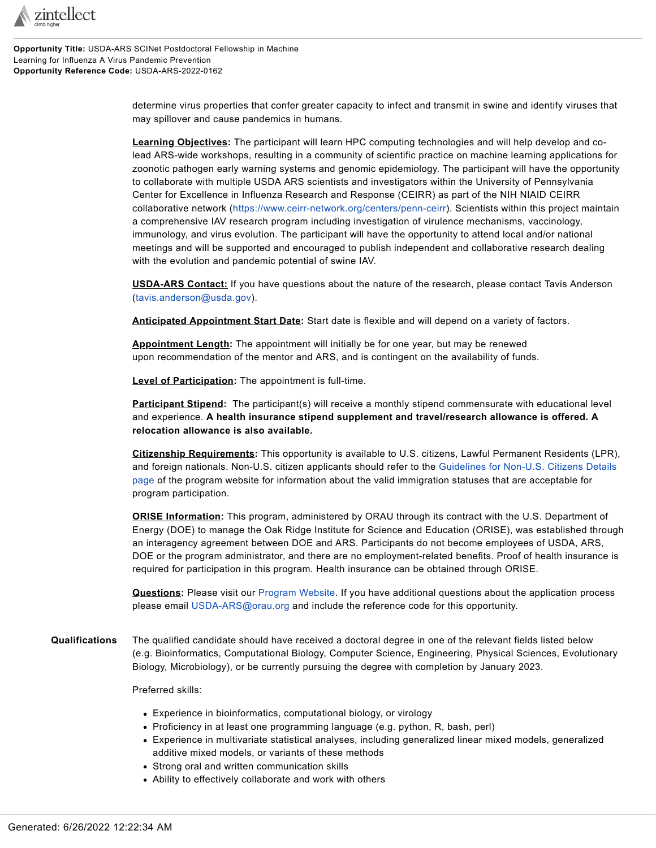

**Opportunity Title:** USDA-ARS SCINet Postdoctoral Fellowship in Machine Learning for Influenza A Virus Pandemic Prevention **Opportunity Reference Code:** USDA-ARS-2022-0162

> determine virus properties that confer greater capacity to infect and transmit in swine and identify viruses that may spillover and cause pandemics in humans.

> **Learning Objectives:** The participant will learn HPC computing technologies and will help develop and colead ARS-wide workshops, resulting in a community of scientific practice on machine learning applications for zoonotic pathogen early warning systems and genomic epidemiology. The participant will have the opportunity to collaborate with multiple USDA ARS scientists and investigators within the University of Pennsylvania Center for Excellence in Influenza Research and Response (CEIRR) as part of the NIH NIAID CEIRR collaborative network [\(https://www.ceirr-network.org/centers/penn-ceirr](https://www.ceirr-network.org/centers/penn-ceirr)). Scientists within this project maintain a comprehensive IAV research program including investigation of virulence mechanisms, vaccinology, immunology, and virus evolution. The participant will have the opportunity to attend local and/or national meetings and will be supported and encouraged to publish independent and collaborative research dealing with the evolution and pandemic potential of swine IAV.

**USDA-ARS Contact:** If you have questions about the nature of the research, please contact Tavis Anderson ([tavis.anderson@usda.gov\)](mailto:tavis.anderson@usda.gov).

**Anticipated Appointment Start Date:** Start date is flexible and will depend on a variety of factors.

**Appointment Length:** The appointment will initially be for one year, but may be renewed upon recommendation of the mentor and ARS, and is contingent on the availability of funds.

**Level of Participation:** The appointment is full-time.

**Participant Stipend:** The participant(s) will receive a monthly stipend commensurate with educational level and experience. **A health insurance stipend supplement and travel/research allowance is offered. A relocation allowance is also available.**

**Citizenship Requirements:** This opportunity is available to U.S. citizens, Lawful Permanent Residents (LPR), and foreign nationals. Non-U.S. citizen applicants should refer to the [Guidelines](http://orise.orau.gov/usda-ars/default.html) for Non-U.S. Citizens Details [page](http://orise.orau.gov/usda-ars/default.html) of the program website for information about the valid immigration statuses that are acceptable for program participation.

**ORISE Information:** This program, administered by ORAU through its contract with the U.S. Department of Energy (DOE) to manage the Oak Ridge Institute for Science and Education (ORISE), was established through an interagency agreement between DOE and ARS. Participants do not become employees of USDA, ARS, DOE or the program administrator, and there are no employment-related benefits. Proof of health insurance is required for participation in this program. Health insurance can be obtained through ORISE.

**Questions:** Please visit our [Program](https://orise.orau.gov/usda-ars/default.html) Website. If you have additional questions about the application process please email [USDA-ARS@orau.org](mailto:USDA-ARS@orau.org) and include the reference code for this opportunity.

**Qualifications** The qualified candidate should have received a doctoral degree in one of the relevant fields listed below (e.g. Bioinformatics, Computational Biology, Computer Science, Engineering, Physical Sciences, Evolutionary Biology, Microbiology), or be currently pursuing the degree with completion by January 2023.

Preferred skills:

- Experience in bioinformatics, computational biology, or virology
- Proficiency in at least one programming language (e.g. python, R, bash, perl)
- Experience in multivariate statistical analyses, including generalized linear mixed models, generalized additive mixed models, or variants of these methods
- Strong oral and written communication skills
- Ability to effectively collaborate and work with others